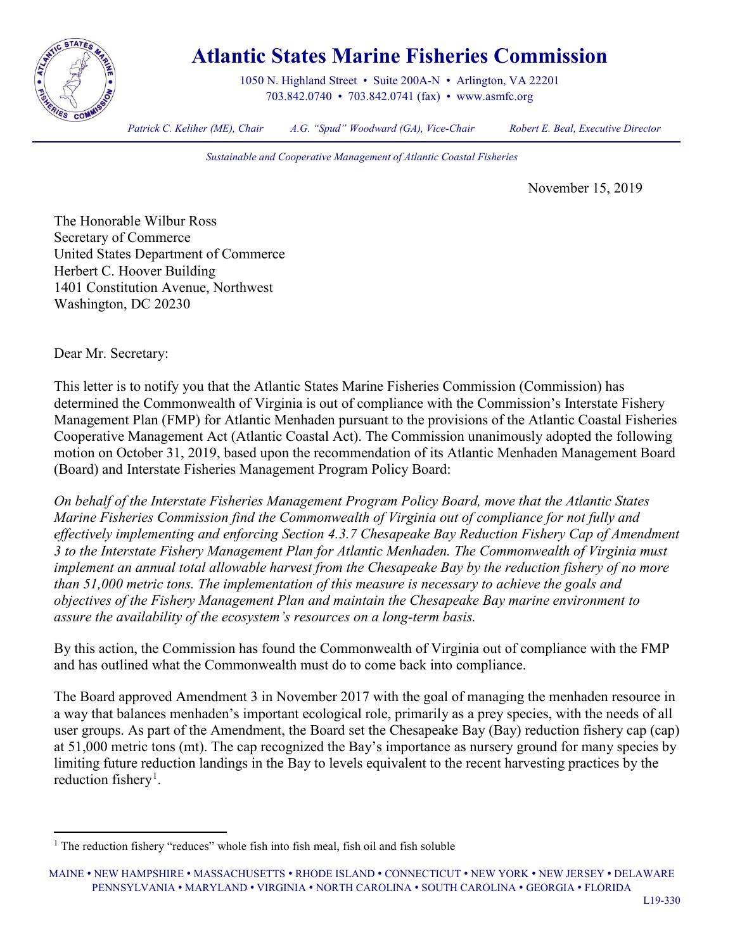

## **Atlantic States Marine Fisheries Commission**

1050 N. Highland Street • Suite 200A-N • Arlington, VA 22201 703.842.0740 • 703.842.0741 (fax) • [www.asmfc.org](http://www.asmfc.org/)

*Patrick C. Keliher (ME), Chair A.G. "Spud" Woodward (GA), Vice-Chair Robert E. Beal, Executive Director*

*Sustainable and Cooperative Management of Atlantic Coastal Fisheries*

November 15, 2019

The Honorable Wilbur Ross Secretary of Commerce United States Department of Commerce Herbert C. Hoover Building 1401 Constitution Avenue, Northwest Washington, DC 20230

Dear Mr. Secretary:

This letter is to notify you that the Atlantic States Marine Fisheries Commission (Commission) has determined the Commonwealth of Virginia is out of compliance with the Commission's Interstate Fishery Management Plan (FMP) for Atlantic Menhaden pursuant to the provisions of the Atlantic Coastal Fisheries Cooperative Management Act (Atlantic Coastal Act). The Commission unanimously adopted the following motion on October 31, 2019, based upon the recommendation of its Atlantic Menhaden Management Board (Board) and Interstate Fisheries Management Program Policy Board:

*On behalf of the Interstate Fisheries Management Program Policy Board, move that the Atlantic States Marine Fisheries Commission find the Commonwealth of Virginia out of compliance for not fully and effectively implementing and enforcing Section 4.3.7 Chesapeake Bay Reduction Fishery Cap of Amendment 3 to the Interstate Fishery Management Plan for Atlantic Menhaden. The Commonwealth of Virginia must implement an annual total allowable harvest from the Chesapeake Bay by the reduction fishery of no more than 51,000 metric tons. The implementation of this measure is necessary to achieve the goals and objectives of the Fishery Management Plan and maintain the Chesapeake Bay marine environment to assure the availability of the ecosystem's resources on a long-term basis.*

By this action, the Commission has found the Commonwealth of Virginia out of compliance with the FMP and has outlined what the Commonwealth must do to come back into compliance.

The Board approved Amendment 3 in November 2017 with the goal of managing the menhaden resource in a way that balances menhaden's important ecological role, primarily as a prey species, with the needs of all user groups. As part of the Amendment, the Board set the Chesapeake Bay (Bay) reduction fishery cap (cap) at 51,000 metric tons (mt). The cap recognized the Bay's importance as nursery ground for many species by limiting future reduction landings in the Bay to levels equivalent to the recent harvesting practices by the reduction fishery<sup>[1](#page-0-0)</sup>.

<span id="page-0-0"></span><sup>&</sup>lt;sup>1</sup> The reduction fishery "reduces" whole fish into fish meal, fish oil and fish soluble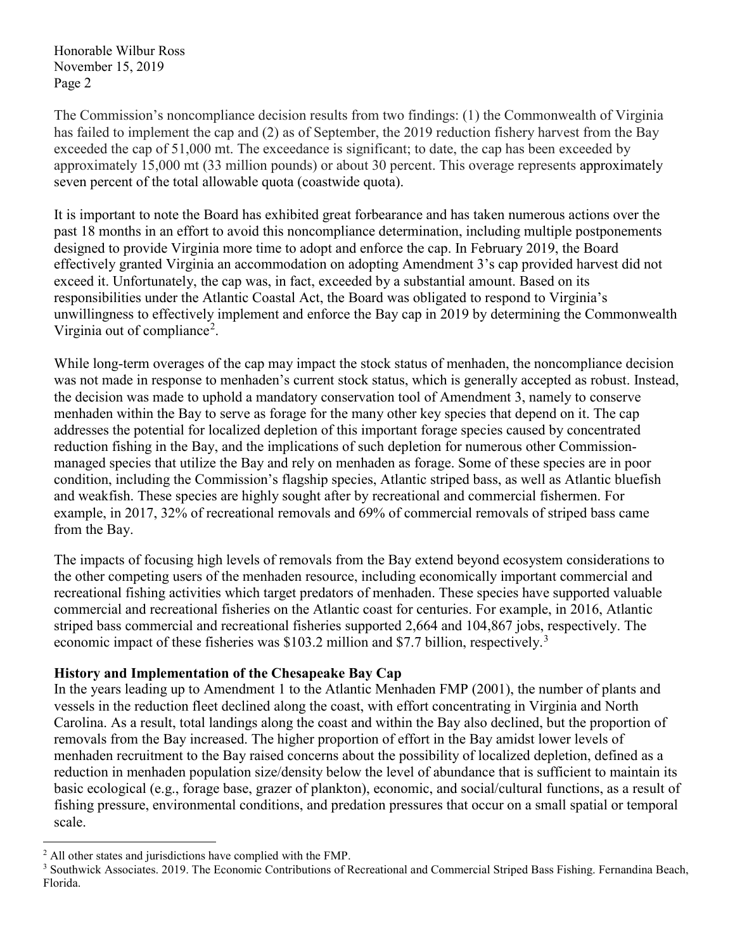The Commission's noncompliance decision results from two findings: (1) the Commonwealth of Virginia has failed to implement the cap and (2) as of September, the 2019 reduction fishery harvest from the Bay exceeded the cap of 51,000 mt. The exceedance is significant; to date, the cap has been exceeded by approximately 15,000 mt (33 million pounds) or about 30 percent. This overage represents approximately seven percent of the total allowable quota (coastwide quota).

It is important to note the Board has exhibited great forbearance and has taken numerous actions over the past 18 months in an effort to avoid this noncompliance determination, including multiple postponements designed to provide Virginia more time to adopt and enforce the cap. In February 2019, the Board effectively granted Virginia an accommodation on adopting Amendment 3's cap provided harvest did not exceed it. Unfortunately, the cap was, in fact, exceeded by a substantial amount. Based on its responsibilities under the Atlantic Coastal Act, the Board was obligated to respond to Virginia's unwillingness to effectively implement and enforce the Bay cap in 2019 by determining the Commonwealth Virginia out of compliance<sup>[2](#page-1-0)</sup>.

While long-term overages of the cap may impact the stock status of menhaden, the noncompliance decision was not made in response to menhaden's current stock status, which is generally accepted as robust. Instead, the decision was made to uphold a mandatory conservation tool of Amendment 3, namely to conserve menhaden within the Bay to serve as forage for the many other key species that depend on it. The cap addresses the potential for localized depletion of this important forage species caused by concentrated reduction fishing in the Bay, and the implications of such depletion for numerous other Commissionmanaged species that utilize the Bay and rely on menhaden as forage. Some of these species are in poor condition, including the Commission's flagship species, Atlantic striped bass, as well as Atlantic bluefish and weakfish. These species are highly sought after by recreational and commercial fishermen. For example, in 2017, 32% of recreational removals and 69% of commercial removals of striped bass came from the Bay.

The impacts of focusing high levels of removals from the Bay extend beyond ecosystem considerations to the other competing users of the menhaden resource, including economically important commercial and recreational fishing activities which target predators of menhaden. These species have supported valuable commercial and recreational fisheries on the Atlantic coast for centuries. For example, in 2016, Atlantic striped bass commercial and recreational fisheries supported 2,664 and 104,867 jobs, respectively. The economic impact of these fisheries was \$10[3](#page-1-1).2 million and \$7.7 billion, respectively.<sup>3</sup>

## **History and Implementation of the Chesapeake Bay Cap**

In the years leading up to Amendment 1 to the Atlantic Menhaden FMP (2001), the number of plants and vessels in the reduction fleet declined along the coast, with effort concentrating in Virginia and North Carolina. As a result, total landings along the coast and within the Bay also declined, but the proportion of removals from the Bay increased. The higher proportion of effort in the Bay amidst lower levels of menhaden recruitment to the Bay raised concerns about the possibility of localized depletion, defined as a reduction in menhaden population size/density below the level of abundance that is sufficient to maintain its basic ecological (e.g., forage base, grazer of plankton), economic, and social/cultural functions, as a result of fishing pressure, environmental conditions, and predation pressures that occur on a small spatial or temporal scale.

<span id="page-1-0"></span> <sup>2</sup> All other states and jurisdictions have complied with the FMP.

<span id="page-1-1"></span><sup>&</sup>lt;sup>3</sup> Southwick Associates. 2019. The Economic Contributions of Recreational and Commercial Striped Bass Fishing. Fernandina Beach, Florida.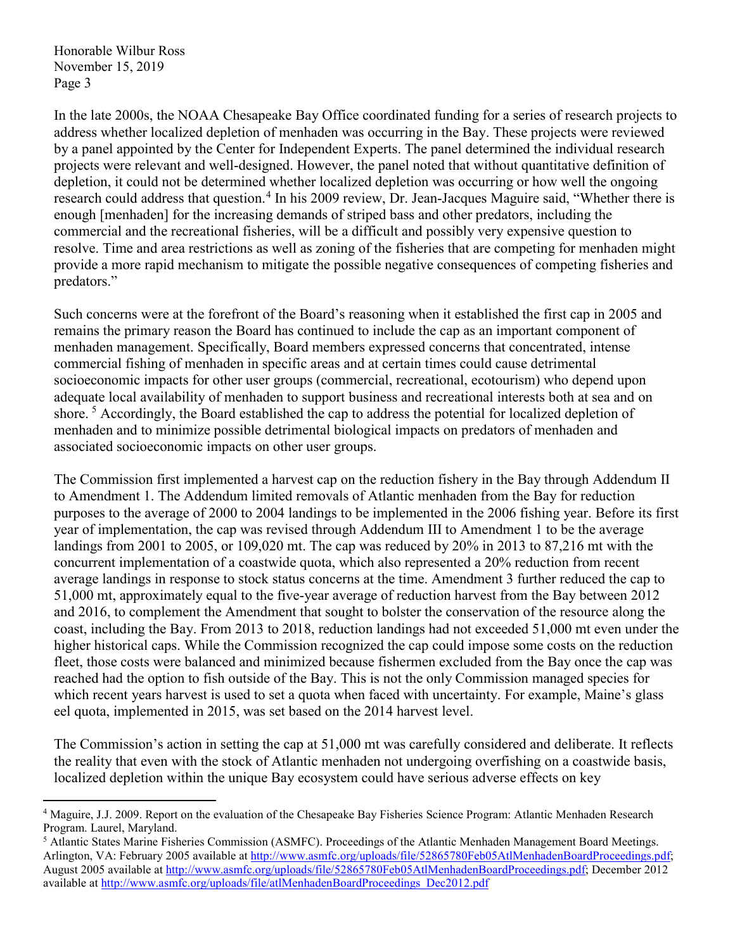In the late 2000s, the NOAA Chesapeake Bay Office coordinated funding for a series of research projects to address whether localized depletion of menhaden was occurring in the Bay. These projects were reviewed by a panel appointed by the Center for Independent Experts. The panel determined the individual research projects were relevant and well-designed. However, the panel noted that without quantitative definition of depletion, it could not be determined whether localized depletion was occurring or how well the ongoing research could address that question.<sup>[4](#page-2-0)</sup> In his 2009 review, Dr. Jean-Jacques Maguire said, "Whether there is enough [menhaden] for the increasing demands of striped bass and other predators, including the commercial and the recreational fisheries, will be a difficult and possibly very expensive question to resolve. Time and area restrictions as well as zoning of the fisheries that are competing for menhaden might provide a more rapid mechanism to mitigate the possible negative consequences of competing fisheries and predators."

Such concerns were at the forefront of the Board's reasoning when it established the first cap in 2005 and remains the primary reason the Board has continued to include the cap as an important component of menhaden management. Specifically, Board members expressed concerns that concentrated, intense commercial fishing of menhaden in specific areas and at certain times could cause detrimental socioeconomic impacts for other user groups (commercial, recreational, ecotourism) who depend upon adequate local availability of menhaden to support business and recreational interests both at sea and on shore.<sup>[5](#page-2-1)</sup> Accordingly, the Board established the cap to address the potential for localized depletion of menhaden and to minimize possible detrimental biological impacts on predators of menhaden and associated socioeconomic impacts on other user groups.

The Commission first implemented a harvest cap on the reduction fishery in the Bay through Addendum II to Amendment 1. The Addendum limited removals of Atlantic menhaden from the Bay for reduction purposes to the average of 2000 to 2004 landings to be implemented in the 2006 fishing year. Before its first year of implementation, the cap was revised through Addendum III to Amendment 1 to be the average landings from 2001 to 2005, or 109,020 mt. The cap was reduced by 20% in 2013 to 87,216 mt with the concurrent implementation of a coastwide quota, which also represented a 20% reduction from recent average landings in response to stock status concerns at the time. Amendment 3 further reduced the cap to 51,000 mt, approximately equal to the five-year average of reduction harvest from the Bay between 2012 and 2016, to complement the Amendment that sought to bolster the conservation of the resource along the coast, including the Bay. From 2013 to 2018, reduction landings had not exceeded 51,000 mt even under the higher historical caps. While the Commission recognized the cap could impose some costs on the reduction fleet, those costs were balanced and minimized because fishermen excluded from the Bay once the cap was reached had the option to fish outside of the Bay. This is not the only Commission managed species for which recent years harvest is used to set a quota when faced with uncertainty. For example, Maine's glass eel quota, implemented in 2015, was set based on the 2014 harvest level.

The Commission's action in setting the cap at 51,000 mt was carefully considered and deliberate. It reflects the reality that even with the stock of Atlantic menhaden not undergoing overfishing on a coastwide basis, localized depletion within the unique Bay ecosystem could have serious adverse effects on key

<span id="page-2-0"></span> <sup>4</sup> Maguire, J.J. 2009. Report on the evaluation of the Chesapeake Bay Fisheries Science Program: Atlantic Menhaden Research Program. Laurel, Maryland.

<span id="page-2-1"></span><sup>5</sup> Atlantic States Marine Fisheries Commission (ASMFC). Proceedings of the Atlantic Menhaden Management Board Meetings. Arlington, VA: February 2005 available at [http://www.asmfc.org/uploads/file/52865780Feb05AtlMenhadenBoardProceedings.pdf;](http://www.asmfc.org/uploads/file/52865780Feb05AtlMenhadenBoardProceedings.pdf) August 2005 available at [http://www.asmfc.org/uploads/file/52865780Feb05AtlMenhadenBoardProceedings.pdf;](http://www.asmfc.org/uploads/file/52865780Feb05AtlMenhadenBoardProceedings.pdf) December 2012 available at [http://www.asmfc.org/uploads/file/atlMenhadenBoardProceedings\\_Dec2012.pdf](http://www.asmfc.org/uploads/file/atlMenhadenBoardProceedings_Dec2012.pdf)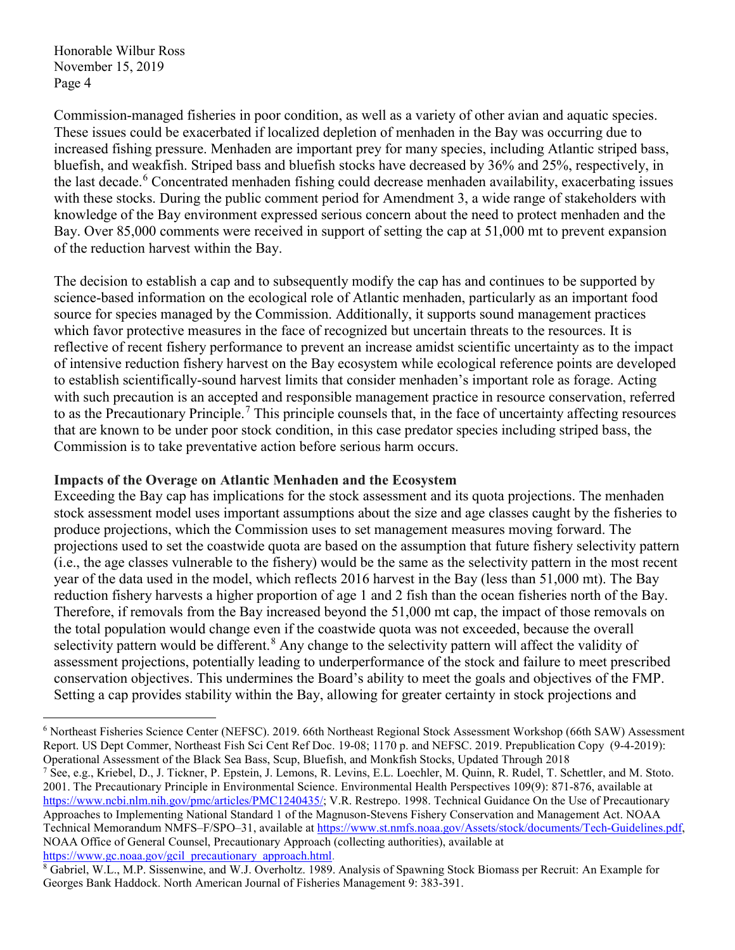Commission-managed fisheries in poor condition, as well as a variety of other avian and aquatic species. These issues could be exacerbated if localized depletion of menhaden in the Bay was occurring due to increased fishing pressure. Menhaden are important prey for many species, including Atlantic striped bass, bluefish, and weakfish. Striped bass and bluefish stocks have decreased by 36% and 25%, respectively, in the last decade.<sup>[6](#page-3-0)</sup> Concentrated menhaden fishing could decrease menhaden availability, exacerbating issues with these stocks. During the public comment period for Amendment 3, a wide range of stakeholders with knowledge of the Bay environment expressed serious concern about the need to protect menhaden and the Bay. Over 85,000 comments were received in support of setting the cap at 51,000 mt to prevent expansion of the reduction harvest within the Bay.

The decision to establish a cap and to subsequently modify the cap has and continues to be supported by science-based information on the ecological role of Atlantic menhaden, particularly as an important food source for species managed by the Commission. Additionally, it supports sound management practices which favor protective measures in the face of recognized but uncertain threats to the resources. It is reflective of recent fishery performance to prevent an increase amidst scientific uncertainty as to the impact of intensive reduction fishery harvest on the Bay ecosystem while ecological reference points are developed to establish scientifically-sound harvest limits that consider menhaden's important role as forage. Acting with such precaution is an accepted and responsible management practice in resource conservation, referred to as the Precautionary Principle.<sup>[7](#page-3-1)</sup> This principle counsels that, in the face of uncertainty affecting resources that are known to be under poor stock condition, in this case predator species including striped bass, the Commission is to take preventative action before serious harm occurs.

## **Impacts of the Overage on Atlantic Menhaden and the Ecosystem**

Exceeding the Bay cap has implications for the stock assessment and its quota projections. The menhaden stock assessment model uses important assumptions about the size and age classes caught by the fisheries to produce projections, which the Commission uses to set management measures moving forward. The projections used to set the coastwide quota are based on the assumption that future fishery selectivity pattern (i.e., the age classes vulnerable to the fishery) would be the same as the selectivity pattern in the most recent year of the data used in the model, which reflects 2016 harvest in the Bay (less than 51,000 mt). The Bay reduction fishery harvests a higher proportion of age 1 and 2 fish than the ocean fisheries north of the Bay. Therefore, if removals from the Bay increased beyond the 51,000 mt cap, the impact of those removals on the total population would change even if the coastwide quota was not exceeded, because the overall selectivity pattern would be different.<sup>[8](#page-3-2)</sup> Any change to the selectivity pattern will affect the validity of assessment projections, potentially leading to underperformance of the stock and failure to meet prescribed conservation objectives. This undermines the Board's ability to meet the goals and objectives of the FMP. Setting a cap provides stability within the Bay, allowing for greater certainty in stock projections and

<span id="page-3-0"></span> <sup>6</sup> Northeast Fisheries Science Center (NEFSC). 2019. 66th Northeast Regional Stock Assessment Workshop (66th SAW) Assessment Report. US Dept Commer, Northeast Fish Sci Cent Ref Doc. 19-08; 1170 p. and NEFSC. 2019. Prepublication Copy (9-4-2019): Operational Assessment of the Black Sea Bass, Scup, Bluefish, and Monkfish Stocks, Updated Through 2018

<span id="page-3-1"></span><sup>7</sup> See, e.g., Kriebel, D., J. Tickner, P. Epstein, J. Lemons, R. Levins, E.L. Loechler, M. Quinn, R. Rudel, T. Schettler, and M. Stoto. 2001. The Precautionary Principle in Environmental Science. Environmental Health Perspectives 109(9): 871-876, available at [https://www.ncbi.nlm.nih.gov/pmc/articles/PMC1240435/;](https://www.ncbi.nlm.nih.gov/pmc/articles/PMC1240435/) V.R. Restrepo. 1998. Technical Guidance On the Use of Precautionary Approaches to Implementing National Standard 1 of the Magnuson-Stevens Fishery Conservation and Management Act. NOAA Technical Memorandum NMFS–F/SPO–31, available at [https://www.st.nmfs.noaa.gov/Assets/stock/documents/Tech-Guidelines.pdf,](https://www.st.nmfs.noaa.gov/Assets/stock/documents/Tech-Guidelines.pdf)  NOAA Office of General Counsel, Precautionary Approach (collecting authorities), available at [https://www.gc.noaa.gov/gcil\\_precautionary\\_approach.html.](https://www.gc.noaa.gov/gcil_precautionary_approach.html)

<span id="page-3-2"></span><sup>8</sup> Gabriel, W.L., M.P. Sissenwine, and W.J. Overholtz. 1989. Analysis of Spawning Stock Biomass per Recruit: An Example for Georges Bank Haddock. North American Journal of Fisheries Management 9: 383-391.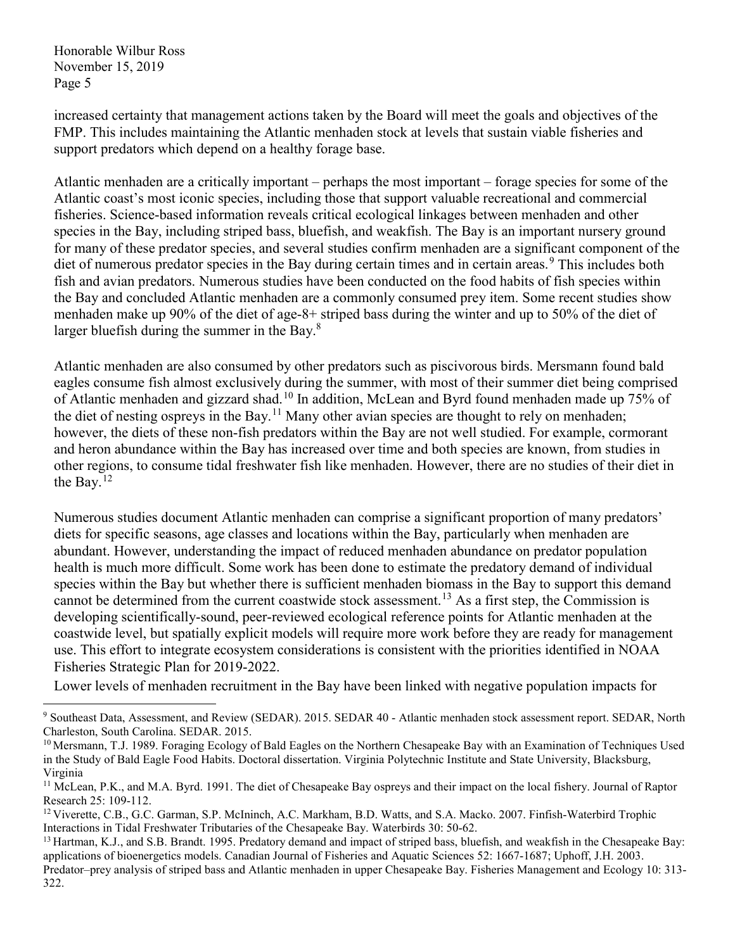increased certainty that management actions taken by the Board will meet the goals and objectives of the FMP. This includes maintaining the Atlantic menhaden stock at levels that sustain viable fisheries and support predators which depend on a healthy forage base.

Atlantic menhaden are a critically important – perhaps the most important – forage species for some of the Atlantic coast's most iconic species, including those that support valuable recreational and commercial fisheries. Science-based information reveals critical ecological linkages between menhaden and other species in the Bay, including striped bass, bluefish, and weakfish. The Bay is an important nursery ground for many of these predator species, and several studies confirm menhaden are a significant component of the diet of numerous predator species in the Bay during certain times and in certain areas.<sup>[9](#page-4-0)</sup> This includes both fish and avian predators. Numerous studies have been conducted on the food habits of fish species within the Bay and concluded Atlantic menhaden are a commonly consumed prey item. Some recent studies show menhaden make up 90% of the diet of age-8+ striped bass during the winter and up to 50% of the diet of larger bluefish during the summer in the Bay. $8$ 

Atlantic menhaden are also consumed by other predators such as piscivorous birds. Mersmann found bald eagles consume fish almost exclusively during the summer, with most of their summer diet being comprised of Atlantic menhaden and gizzard shad.<sup>[10](#page-4-1)</sup> In addition, McLean and Byrd found menhaden made up 75% of the diet of nesting ospreys in the Bay.<sup>[11](#page-4-2)</sup> Many other avian species are thought to rely on menhaden; however, the diets of these non-fish predators within the Bay are not well studied. For example, cormorant and heron abundance within the Bay has increased over time and both species are known, from studies in other regions, to consume tidal freshwater fish like menhaden. However, there are no studies of their diet in the Bay.<sup>[12](#page-4-3)</sup>

Numerous studies document Atlantic menhaden can comprise a significant proportion of many predators' diets for specific seasons, age classes and locations within the Bay, particularly when menhaden are abundant. However, understanding the impact of reduced menhaden abundance on predator population health is much more difficult. Some work has been done to estimate the predatory demand of individual species within the Bay but whether there is sufficient menhaden biomass in the Bay to support this demand cannot be determined from the current coastwide stock assessment.<sup>[13](#page-4-4)</sup> As a first step, the Commission is developing scientifically-sound, peer-reviewed ecological reference points for Atlantic menhaden at the coastwide level, but spatially explicit models will require more work before they are ready for management use. This effort to integrate ecosystem considerations is consistent with the priorities identified in NOAA Fisheries Strategic Plan for 2019-2022.

Lower levels of menhaden recruitment in the Bay have been linked with negative population impacts for

<span id="page-4-0"></span> <sup>9</sup> Southeast Data, Assessment, and Review (SEDAR). 2015. SEDAR 40 ‐ Atlantic menhaden stock assessment report. SEDAR, North Charleston, South Carolina. SEDAR. 2015.<br><sup>10</sup> Mersmann, T.J. 1989. Foraging Ecology of Bald Eagles on the Northern Chesapeake Bay with an Examination of Techniques Used

<span id="page-4-1"></span>in the Study of Bald Eagle Food Habits. Doctoral dissertation. Virginia Polytechnic Institute and State University, Blacksburg, Virginia

<span id="page-4-2"></span><sup>&</sup>lt;sup>11</sup> McLean, P.K., and M.A. Byrd. 1991. The diet of Chesapeake Bay ospreys and their impact on the local fishery. Journal of Raptor Research 25: 109-112.

<span id="page-4-3"></span><sup>&</sup>lt;sup>12</sup> Viverette, C.B., G.C. Garman, S.P. McIninch, A.C. Markham, B.D. Watts, and S.A. Macko. 2007. Finfish-Waterbird Trophic Interactions in Tidal Freshwater Tributaries of the Chesapeake Bay. Waterbirds 30: 50-62.

<span id="page-4-4"></span><sup>&</sup>lt;sup>13</sup> Hartman, K.J., and S.B. Brandt. 1995. Predatory demand and impact of striped bass, bluefish, and weakfish in the Chesapeake Bay: applications of bioenergetics models. Canadian Journal of Fisheries and Aquatic Sciences 52: 1667-1687; Uphoff, J.H. 2003. Predator–prey analysis of striped bass and Atlantic menhaden in upper Chesapeake Bay. Fisheries Management and Ecology 10: 313- 322.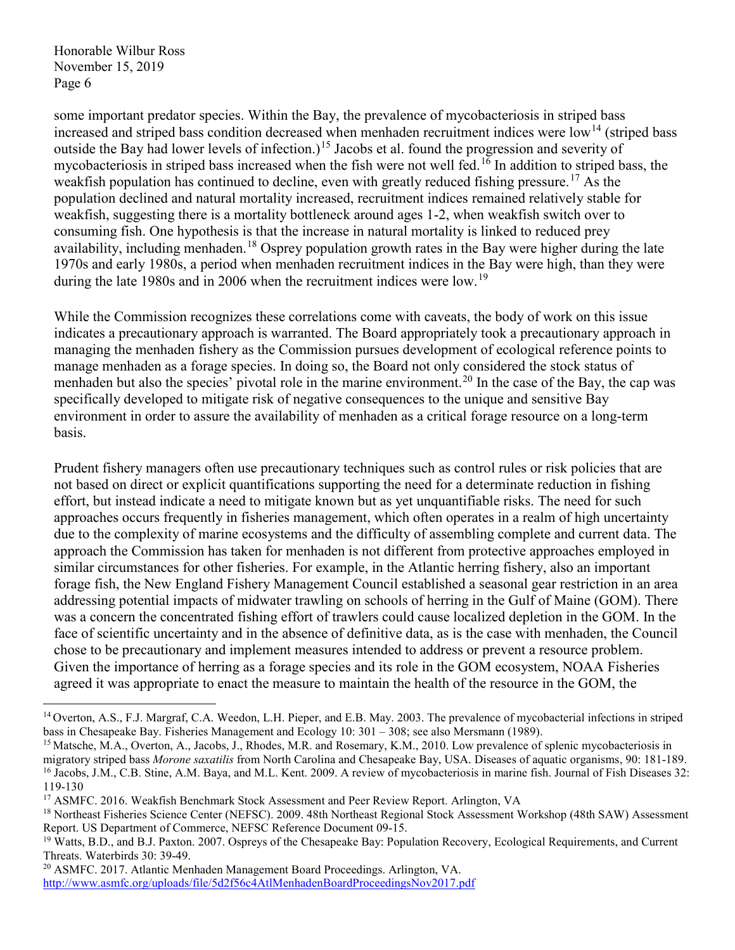some important predator species. Within the Bay, the prevalence of mycobacteriosis in striped bass increased and striped bass condition decreased when menhaden recruitment indices were low<sup>[14](#page-5-0)</sup> (striped bass outside the Bay had lower levels of infection.)<sup>[15](#page-5-1)</sup> Jacobs et al. found the progression and severity of mycobacteriosis in striped bass increased when the fish were not well fed. [16](#page-5-2) In addition to striped bass, the weakfish population has continued to decline, even with greatly reduced fishing pressure.<sup>[17](#page-5-3)</sup> As the population declined and natural mortality increased, recruitment indices remained relatively stable for weakfish, suggesting there is a mortality bottleneck around ages 1-2, when weakfish switch over to consuming fish. One hypothesis is that the increase in natural mortality is linked to reduced prey availability, including menhaden. <sup>[18](#page-5-4)</sup> Osprey population growth rates in the Bay were higher during the late 1970s and early 1980s, a period when menhaden recruitment indices in the Bay were high, than they were during the late [19](#page-5-5)80s and in 2006 when the recruitment indices were low.<sup>19</sup>

While the Commission recognizes these correlations come with caveats, the body of work on this issue indicates a precautionary approach is warranted. The Board appropriately took a precautionary approach in managing the menhaden fishery as the Commission pursues development of ecological reference points to manage menhaden as a forage species. In doing so, the Board not only considered the stock status of menhaden but also the species' pivotal role in the marine environment.<sup>[20](#page-5-6)</sup> In the case of the Bay, the cap was specifically developed to mitigate risk of negative consequences to the unique and sensitive Bay environment in order to assure the availability of menhaden as a critical forage resource on a long-term basis.

Prudent fishery managers often use precautionary techniques such as control rules or risk policies that are not based on direct or explicit quantifications supporting the need for a determinate reduction in fishing effort, but instead indicate a need to mitigate known but as yet unquantifiable risks. The need for such approaches occurs frequently in fisheries management, which often operates in a realm of high uncertainty due to the complexity of marine ecosystems and the difficulty of assembling complete and current data. The approach the Commission has taken for menhaden is not different from protective approaches employed in similar circumstances for other fisheries. For example, in the Atlantic herring fishery, also an important forage fish, the New England Fishery Management Council established a seasonal gear restriction in an area addressing potential impacts of midwater trawling on schools of herring in the Gulf of Maine (GOM). There was a concern the concentrated fishing effort of trawlers could cause localized depletion in the GOM. In the face of scientific uncertainty and in the absence of definitive data, as is the case with menhaden, the Council chose to be precautionary and implement measures intended to address or prevent a resource problem. Given the importance of herring as a forage species and its role in the GOM ecosystem, NOAA Fisheries agreed it was appropriate to enact the measure to maintain the health of the resource in the GOM, the

<span id="page-5-0"></span><sup>&</sup>lt;sup>14</sup> Overton, A.S., F.J. Margraf, C.A. Weedon, L.H. Pieper, and E.B. May. 2003. The prevalence of mycobacterial infections in striped bass in Chesapeake Bay. Fisheries Management and Ecology 10: 301 – 308; see also Mersmann (1989).

<span id="page-5-2"></span><span id="page-5-1"></span><sup>&</sup>lt;sup>15</sup> Matsche, M.A., Overton, A., Jacobs, J., Rhodes, M.R. and Rosemary, K.M., 2010. Low prevalence of splenic mycobacteriosis in migratory striped bass *Morone saxatilis* from North Carolina and Chesapeake Bay, USA. Diseases of aquatic organisms, 90: 181-189. <sup>16</sup> Jacobs, J.M., C.B. Stine, A.M. Baya, and M.L. Kent. 2009. A review of mycobacteriosis in marine fish. Journal of Fish Diseases 32: 119-130

<span id="page-5-3"></span><sup>&</sup>lt;sup>17</sup> ASMFC. 2016. Weakfish Benchmark Stock Assessment and Peer Review Report. Arlington, VA

<span id="page-5-4"></span><sup>&</sup>lt;sup>18</sup> Northeast Fisheries Science Center (NEFSC). 2009. 48th Northeast Regional Stock Assessment Workshop (48th SAW) Assessment Report. US Department of Commerce, NEFSC Reference Document 09-15.

<span id="page-5-5"></span><sup>&</sup>lt;sup>19</sup> Watts, B.D., and B.J. Paxton. 2007. Ospreys of the Chesapeake Bay: Population Recovery, Ecological Requirements, and Current Threats. Waterbirds 30: 39-49.

<span id="page-5-6"></span><sup>20</sup> ASMFC. 2017. Atlantic Menhaden Management Board Proceedings. Arlington, VA. <http://www.asmfc.org/uploads/file/5d2f56c4AtlMenhadenBoardProceedingsNov2017.pdf>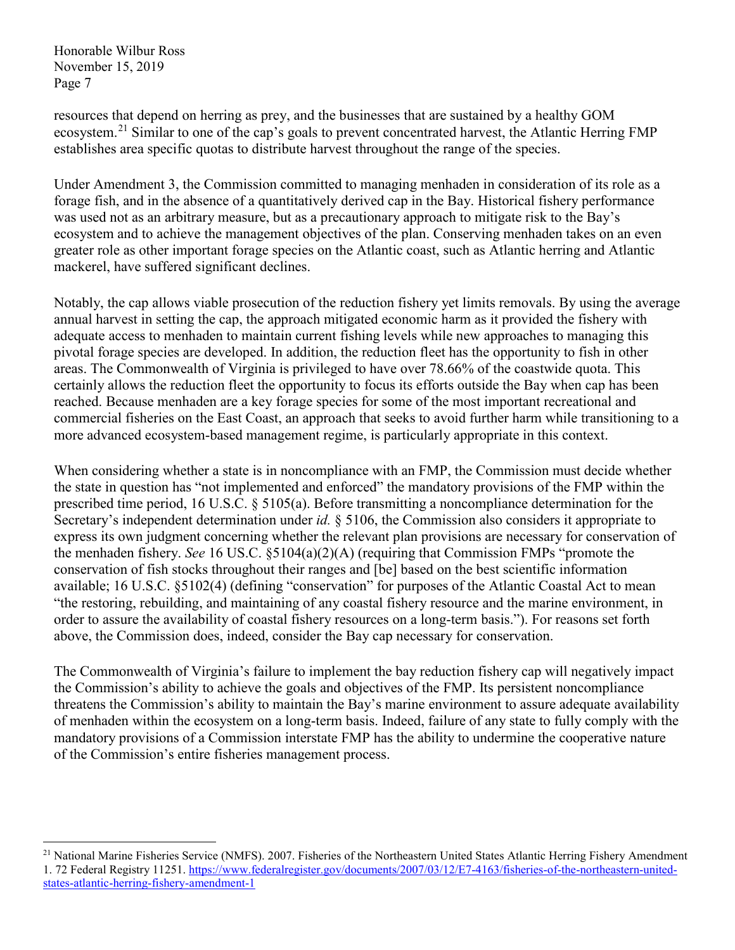resources that depend on herring as prey, and the businesses that are sustained by a healthy GOM ecosystem.<sup>[21](#page-6-0)</sup> Similar to one of the cap's goals to prevent concentrated harvest, the Atlantic Herring FMP establishes area specific quotas to distribute harvest throughout the range of the species.

Under Amendment 3, the Commission committed to managing menhaden in consideration of its role as a forage fish, and in the absence of a quantitatively derived cap in the Bay. Historical fishery performance was used not as an arbitrary measure, but as a precautionary approach to mitigate risk to the Bay's ecosystem and to achieve the management objectives of the plan. Conserving menhaden takes on an even greater role as other important forage species on the Atlantic coast, such as Atlantic herring and Atlantic mackerel, have suffered significant declines.

Notably, the cap allows viable prosecution of the reduction fishery yet limits removals. By using the average annual harvest in setting the cap, the approach mitigated economic harm as it provided the fishery with adequate access to menhaden to maintain current fishing levels while new approaches to managing this pivotal forage species are developed. In addition, the reduction fleet has the opportunity to fish in other areas. The Commonwealth of Virginia is privileged to have over 78.66% of the coastwide quota. This certainly allows the reduction fleet the opportunity to focus its efforts outside the Bay when cap has been reached. Because menhaden are a key forage species for some of the most important recreational and commercial fisheries on the East Coast, an approach that seeks to avoid further harm while transitioning to a more advanced ecosystem-based management regime, is particularly appropriate in this context.

When considering whether a state is in noncompliance with an FMP, the Commission must decide whether the state in question has "not implemented and enforced" the mandatory provisions of the FMP within the prescribed time period, 16 U.S.C. § 5105(a). Before transmitting a noncompliance determination for the Secretary's independent determination under *id.* § 5106, the Commission also considers it appropriate to express its own judgment concerning whether the relevant plan provisions are necessary for conservation of the menhaden fishery. *See* 16 US.C. §5104(a)(2)(A) (requiring that Commission FMPs "promote the conservation of fish stocks throughout their ranges and [be] based on the best scientific information available; 16 U.S.C. §5102(4) (defining "conservation" for purposes of the Atlantic Coastal Act to mean "the restoring, rebuilding, and maintaining of any coastal fishery resource and the marine environment, in order to assure the availability of coastal fishery resources on a long-term basis."). For reasons set forth above, the Commission does, indeed, consider the Bay cap necessary for conservation.

The Commonwealth of Virginia's failure to implement the bay reduction fishery cap will negatively impact the Commission's ability to achieve the goals and objectives of the FMP. Its persistent noncompliance threatens the Commission's ability to maintain the Bay's marine environment to assure adequate availability of menhaden within the ecosystem on a long-term basis. Indeed, failure of any state to fully comply with the mandatory provisions of a Commission interstate FMP has the ability to undermine the cooperative nature of the Commission's entire fisheries management process.

<span id="page-6-0"></span><sup>&</sup>lt;sup>21</sup> National Marine Fisheries Service (NMFS). 2007. Fisheries of the Northeastern United States Atlantic Herring Fishery Amendment 1. 72 Federal Registry 11251. [https://www.federalregister.gov/documents/2007/03/12/E7-4163/fisheries-of-the-northeastern-united](https://www.federalregister.gov/documents/2007/03/12/E7-4163/fisheries-of-the-northeastern-united-states-atlantic-herring-fishery-amendment-1)[states-atlantic-herring-fishery-amendment-1](https://www.federalregister.gov/documents/2007/03/12/E7-4163/fisheries-of-the-northeastern-united-states-atlantic-herring-fishery-amendment-1)